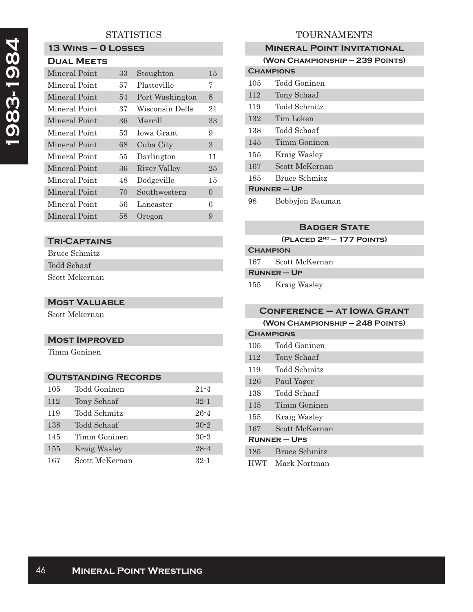## **STATISTICS**

# **13 Wins – 0 Losses**

| Mineral Point | 33 | Stoughton       | 15       |
|---------------|----|-----------------|----------|
|               |    |                 |          |
| Mineral Point | 57 | Platteville     | 7        |
| Mineral Point | 54 | Port Washington | 8        |
| Mineral Point | 37 | Wisconsin Dells | 21       |
| Mineral Point | 36 | Merrill         | 33       |
| Mineral Point | 53 | Iowa Grant      | 9        |
| Mineral Point | 68 | Cuba City       | 3        |
| Mineral Point | 55 | Darlington      | 11       |
| Mineral Point | 36 | River Valley    | 25       |
| Mineral Point | 48 | Dodgeville      | 15       |
| Mineral Point | 70 | Southwestern    | $\Omega$ |
| Mineral Point | 56 | Lancaster       | 6        |
| Mineral Point | 58 | Oregon          | 9        |

#### **Tri-Captains**

Bruce Schmitz Todd Schaaf Scott Mckernan

#### **Most Valuable**

Scott Mckernan

#### **Most Improved**

Timm Goninen

### **Outstanding Records**

| 105 | Todd Goninen   | $21 - 4$ |
|-----|----------------|----------|
| 112 | Tony Schaaf    | $32 - 1$ |
| 119 | Todd Schmitz   | $26 - 4$ |
| 138 | Todd Schaaf    | $30 - 2$ |
| 145 | Timm Goninen   | $30-3$   |
| 155 | Kraig Wasley   | $28 - 4$ |
| 167 | Scott McKernan | $32 - 1$ |

# TOURNAMENTS

| <b>MINERAL POINT INVITATIONAL</b> |                                 |  |  |  |
|-----------------------------------|---------------------------------|--|--|--|
|                                   | (WON CHAMPIONSHIP - 239 POINTS) |  |  |  |
| <b>CHAMPIONS</b>                  |                                 |  |  |  |
| 105                               | Todd Goninen                    |  |  |  |
| 112                               | Tony Schaaf                     |  |  |  |
| 119                               | Todd Schmitz                    |  |  |  |
| 132                               | Tim Loken                       |  |  |  |
| 138                               | Todd Schaaf                     |  |  |  |
| 145                               | Timm Goninen                    |  |  |  |
| 155                               | Kraig Wasley                    |  |  |  |
| 167                               | Scott McKernan                  |  |  |  |
| 185                               | Bruce Schmitz                   |  |  |  |
| <b>RUNNER - UP</b>                |                                 |  |  |  |
| 98                                | Bobbyjon Bauman                 |  |  |  |

#### **Badger State**

**(Placed 2nd — 177 Points)**

# **Champion**

167 Scott McKernan

**Runner – Up**

155 Kraig Wasley

| <b>CONFERENCE - AT IOWA GRANT</b> |                  |  |  |
|-----------------------------------|------------------|--|--|
| (WON CHAMPIONSHIP - 248 POINTS)   |                  |  |  |
| <b>CHAMPIONS</b>                  |                  |  |  |
| 105                               | Todd Goninen     |  |  |
| 112                               | Tony Schaaf      |  |  |
| 119                               | Todd Schmitz     |  |  |
| 126                               | Paul Yager       |  |  |
| 138                               | Todd Schaaf      |  |  |
| 145                               | Timm Goninen     |  |  |
| 155                               | Kraig Wasley     |  |  |
| 167                               | Scott McKernan   |  |  |
| RUNNER – UPS                      |                  |  |  |
| 185                               | Bruce Schmitz    |  |  |
|                                   | HWT Mark Nortman |  |  |